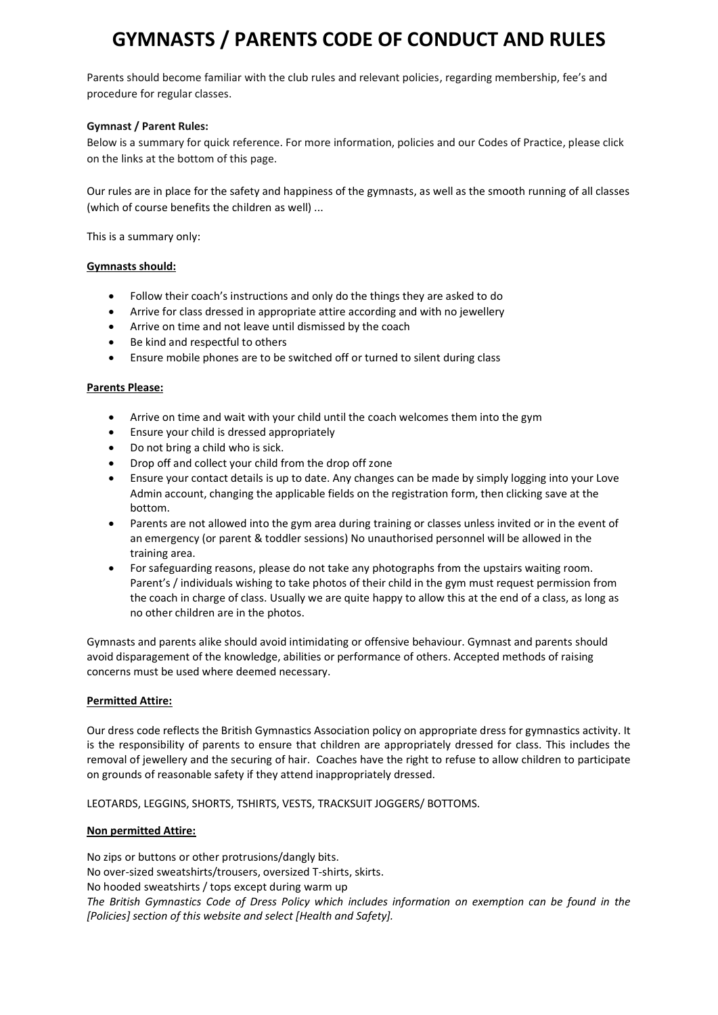# **GYMNASTS / PARENTS CODE OF CONDUCT AND RULES**

Parents should become familiar with the club rules and relevant policies, regarding membership, fee's and procedure for regular classes.

# **Gymnast / Parent Rules:**

Below is a summary for quick reference. For more information, policies and our Codes of Practice, please click on the links at the bottom of this page.

Our rules are in place for the safety and happiness of the gymnasts, as well as the smooth running of all classes (which of course benefits the children as well) ...

This is a summary only:

## **Gymnasts should:**

- Follow their coach's instructions and only do the things they are asked to do
- Arrive for class dressed in appropriate attire according and with no jewellery
- Arrive on time and not leave until dismissed by the coach
- Be kind and respectful to others
- Ensure mobile phones are to be switched off or turned to silent during class

## **Parents Please:**

- Arrive on time and wait with your child until the coach welcomes them into the gym
- Ensure your child is dressed appropriately
- Do not bring a child who is sick.
- Drop off and collect your child from the drop off zone
- Ensure your contact details is up to date. Any changes can be made by simply logging into your Love Admin account, changing the applicable fields on the registration form, then clicking save at the bottom.
- Parents are not allowed into the gym area during training or classes unless invited or in the event of an emergency (or parent & toddler sessions) No unauthorised personnel will be allowed in the training area.
- For safeguarding reasons, please do not take any photographs from the upstairs waiting room. Parent's / individuals wishing to take photos of their child in the gym must request permission from the coach in charge of class. Usually we are quite happy to allow this at the end of a class, as long as no other children are in the photos.

Gymnasts and parents alike should avoid intimidating or offensive behaviour. Gymnast and parents should avoid disparagement of the knowledge, abilities or performance of others. Accepted methods of raising concerns must be used where deemed necessary.

## **Permitted Attire:**

Our dress code reflects the British Gymnastics Association policy on appropriate dress for gymnastics activity. It is the responsibility of parents to ensure that children are appropriately dressed for class. This includes the removal of jewellery and the securing of hair. Coaches have the right to refuse to allow children to participate on grounds of reasonable safety if they attend inappropriately dressed.

LEOTARDS, LEGGINS, SHORTS, TSHIRTS, VESTS, TRACKSUIT JOGGERS/ BOTTOMS.

## **Non permitted Attire:**

No zips or buttons or other protrusions/dangly bits. No over-sized sweatshirts/trousers, oversized T-shirts, skirts. No hooded sweatshirts / tops except during warm up *The British Gymnastics Code of Dress Policy which includes information on exemption can be found in the [Policies] section of this website and select [Health and Safety].*